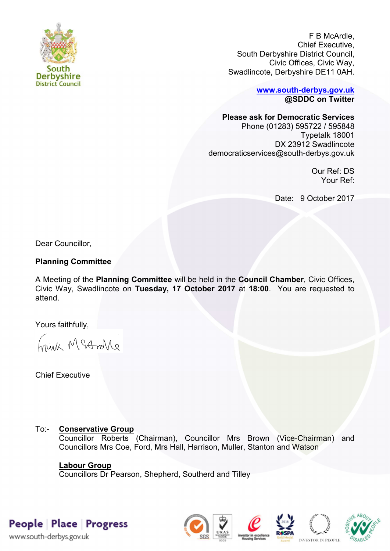

F B McArdle, Chief Executive, South Derbyshire District Council, Civic Offices, Civic Way, Swadlincote, Derbyshire DE11 0AH.

> **[www.south-derbys.gov.uk](http://www.south-derbys.gov.uk/) @SDDC on Twitter**

**Please ask for Democratic Services** 

Phone (01283) 595722 / 595848 Typetalk 18001 DX 23912 Swadlincote democraticservices@south-derbys.gov.uk

> Our Ref: DS Your Ref:

Date: 9 October 2017

Dear Councillor,

## **Planning Committee**

A Meeting of the **Planning Committee** will be held in the **Council Chamber**, Civic Offices, Civic Way, Swadlincote on **Tuesday, 17 October 2017** at **18:00**. You are requested to attend.

Yours faithfully,

brisk McAndre

Chief Executive

# To:- **Conservative Group**

Councillor Roberts (Chairman), Councillor Mrs Brown (Vice-Chairman) and Councillors Mrs Coe, Ford, Mrs Hall, Harrison, Muller, Stanton and Watson

## **Labour Group**

Councillors Dr Pearson, Shepherd, Southerd and Tilley

People Place Progress

www.south-derbys.gov.uk







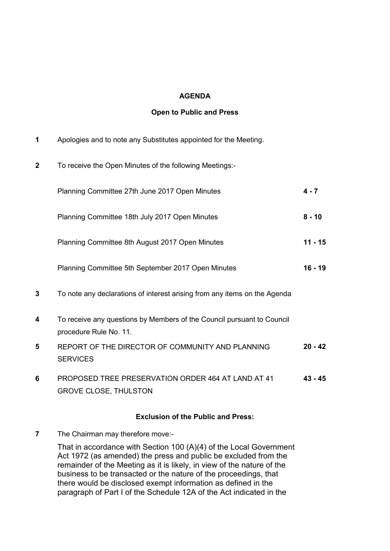### **AGENDA**

### **Open to Public and Press**

- **1** Apologies and to note any Substitutes appointed for the Meeting.
- **2** To receive the Open Minutes of the following Meetings:-

|   | Planning Committee 27th June 2017 Open Minutes                                                   | $4 - 7$   |
|---|--------------------------------------------------------------------------------------------------|-----------|
|   | Planning Committee 18th July 2017 Open Minutes                                                   | $8 - 10$  |
|   | Planning Committee 8th August 2017 Open Minutes                                                  | $11 - 15$ |
|   | Planning Committee 5th September 2017 Open Minutes                                               | $16 - 19$ |
| 3 | To note any declarations of interest arising from any items on the Agenda                        |           |
| 4 | To receive any questions by Members of the Council pursuant to Council<br>procedure Rule No. 11. |           |
| 5 | REPORT OF THE DIRECTOR OF COMMUNITY AND PLANNING<br><b>SERVICES</b>                              | $20 - 42$ |

**6** PROPOSED TREE PRESERVATION ORDER 464 AT LAND AT 41 GROVE CLOSE, THULSTON **43 - 45**

#### **Exclusion of the Public and Press:**

**7** The Chairman may therefore move:-

That in accordance with Section 100 (A)(4) of the Local Government Act 1972 (as amended) the press and public be excluded from the remainder of the Meeting as it is likely, in view of the nature of the business to be transacted or the nature of the proceedings, that there would be disclosed exempt information as defined in the paragraph of Part I of the Schedule 12A of the Act indicated in the